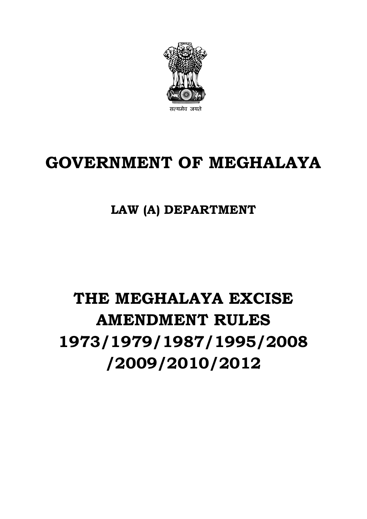

# **GOVERNMENT OF MEGHALAYA**

# **LAW (A) DEPARTMENT**

# **THE MEGHALAYA EXCISE AMENDMENT RULES 1973/1979/1987/1995/2008 /2009/2010/2012**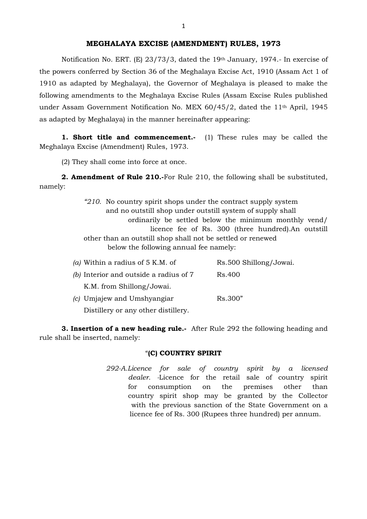Notification No. ERT. (E) 23/73/3, dated the 19th January, 1974.- In exercise of the powers conferred by Section 36 of the Meghalaya Excise Act, 1910 (Assam Act 1 of 1910 as adapted by Meghalaya), the Governor of Meghalaya is pleased to make the following amendments to the Meghalaya Excise Rules (Assam Excise Rules published under Assam Government Notification No. MEX 60/45/2, dated the 11th April, 1945 as adapted by Meghalaya) in the manner hereinafter appearing:

**1. Short title and commencement.** (1) These rules may be called the Meghalaya Excise (Amendment) Rules, 1973.

(2) They shall come into force at once.

**2. Amendment of Rule 210.-**For Rule 210, the following shall be substituted, namely:

> *"210.* No country spirit shops under the contract supply system and no outstill shop under outstill system of supply shall ordinarily be settled below the minimum monthly vend/ licence fee of Rs. 300 (three hundred).An outstill other than an outstill shop shall not be settled or renewed below the following annual fee namely:

| (a) Within a radius of $5$ K.M. of     | Rs.500 Shillong/Jowai. |
|----------------------------------------|------------------------|
| (b) Interior and outside a radius of 7 | Rs.400                 |
| K.M. from Shillong/Jowai.              |                        |
| (c) Umjajew and Umshyangiar            | Rs.300"                |
| Distillery or any other distillery.    |                        |

**3. Insertion of a new heading rule.-** After Rule 292 the following heading and rule shall be inserted, namely:

#### "**(C) COUNTRY SPIRIT**

*292-A.Licence for sale of country spirit by a licensed dealer. -*Licence for the retail sale of country spirit for consumption on the premises other than country spirit shop may be granted by the Collector with the previous sanction of the State Government on a licence fee of Rs. 300 (Rupees three hundred) per annum.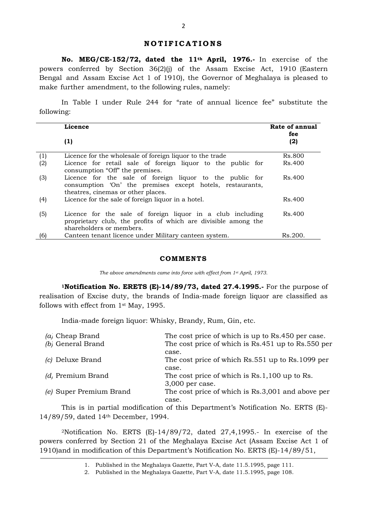### **NOTIFICATIONS**

**No. MEG/CE-152/72, dated the 11th April, 1976.-** In exercise of the powers conferred by Section 36(2)(j) of the Assam Excise Act, 1910 (Eastern Bengal and Assam Excise Act 1 of 1910), the Governor of Meghalaya is pleased to make further amendment, to the following rules, namely:

In Table I under Rule 244 for "rate of annual licence fee" substitute the following:

|     | Licence                                                                                                                                                     | Rate of annual<br>fee |
|-----|-------------------------------------------------------------------------------------------------------------------------------------------------------------|-----------------------|
|     | (1)                                                                                                                                                         | (2)                   |
| (1) | Licence for the wholesale of foreign liquor to the trade                                                                                                    | Rs.800                |
| (2) | Licence for retail sale of foreign liquor to the public for<br>consumption "Off" the premises.                                                              | Rs.400                |
| (3) | Licence for the sale of foreign liquor to the public for<br>consumption 'On' the premises except hotels, restaurants,<br>theatres, cinemas or other places. | Rs.400                |
| (4) | Licence for the sale of foreign liquor in a hotel.                                                                                                          | Rs.400                |
| (5) | Licence for the sale of foreign liquor in a club including<br>proprietary club, the profits of which are divisible among the<br>shareholders or members.    | Rs.400                |
| (6) | Canteen tenant licence under Military canteen system.                                                                                                       | Rs.200.               |

#### **COMMENTS**

*The above amendments came into force with effect from 1st April, 1973.*

**1Notification No. ERETS (E)-14/89/73, dated 27.4.1995.-** For the purpose of realisation of Excise duty, the brands of India-made foreign liquor are classified as follows with effect from 1st May, 1995.

India-made foreign liquor: Whisky, Brandy, Rum, Gin, etc.

| $(a)$ Cheap Brand       | The cost price of which is up to Rs.450 per case.  |
|-------------------------|----------------------------------------------------|
| (b) General Brand       | The cost price of which is Rs.451 up to Rs.550 per |
|                         | case.                                              |
| (c) Deluxe Brand        | The cost price of which Rs.551 up to Rs.1099 per   |
|                         | case.                                              |
| (d, Premium Brand       | The cost price of which is Rs.1,100 up to Rs.      |
|                         | 3,000 per case.                                    |
| (e) Super Premium Brand | The cost price of which is Rs.3,001 and above per  |
|                         | case.                                              |
|                         |                                                    |

This is in partial modification of this Department's Notification No. ERTS (E)- 14/89/59, dated 14th December, 1994.

2Notification No. ERTS (E)-14/89/72, dated 27,4,1995.- In exercise of the powers conferred by Section 21 of the Meghalaya Excise Act (Assam Excise Act 1 of 1910)and in modification of this Department's Notification No. ERTS (E)-14/89/51,

<sup>1.</sup> Published in the Meghalaya Gazette, Part V-A, date 11.5.1995, page 111.

<sup>2.</sup> Published in the Meghalaya Gazette, Part V-A, date 11.5.1995, page 108.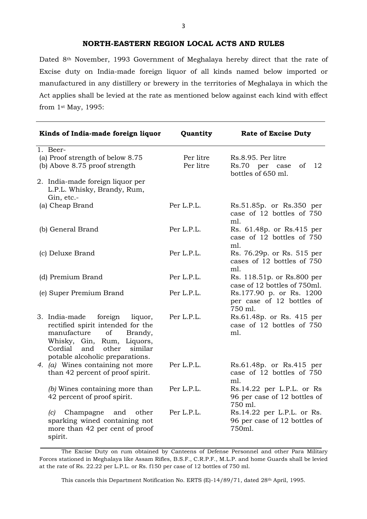# **NORTH-EASTERN REGION LOCAL ACTS AND RULES**

Dated 8th November, 1993 Government of Meghalaya hereby direct that the rate of Excise duty on India-made foreign liquor of all kinds named below imported or manufactured in any distillery or brewery in the territories of Meghalaya in which the Act applies shall be levied at the rate as mentioned below against each kind with effect from 1st May, 1995:

| Kinds of India-made foreign liquor                                                                                                                                                                           | Quantity               | <b>Rate of Excise Duty</b>                                             |
|--------------------------------------------------------------------------------------------------------------------------------------------------------------------------------------------------------------|------------------------|------------------------------------------------------------------------|
| 1. Beer-<br>(a) Proof strength of below 8.75<br>(b) Above 8.75 proof strength<br>2. India-made foreign liquor per                                                                                            | Per litre<br>Per litre | Rs.8.95. Per litre<br>12<br>Rs.70 per case<br>of<br>bottles of 650 ml. |
| L.P.L. Whisky, Brandy, Rum,<br>Gin, etc.-                                                                                                                                                                    |                        |                                                                        |
| (a) Cheap Brand                                                                                                                                                                                              | Per L.P.L.             | Rs.51.85p. or Rs.350 per<br>case of 12 bottles of 750<br>ml.           |
| (b) General Brand                                                                                                                                                                                            | Per L.P.L.             | Rs. 61.48p. or Rs.415 per<br>case of 12 bottles of 750<br>ml.          |
| (c) Deluxe Brand                                                                                                                                                                                             | Per L.P.L.             | Rs. 76.29p. or Rs. 515 per<br>cases of 12 bottles of 750<br>ml.        |
| (d) Premium Brand                                                                                                                                                                                            | Per L.P.L.             | Rs. 118.51p. or Rs.800 per<br>case of 12 bottles of 750ml.             |
| (e) Super Premium Brand                                                                                                                                                                                      | Per L.P.L.             | Rs.177.90 p. or Rs. 1200<br>per case of 12 bottles of<br>750 ml.       |
| 3. India-made<br>foreign<br>liquor,<br>rectified spirit intended for the<br>manufacture<br>of<br>Brandy,<br>Whisky, Gin, Rum, Liquors,<br>and<br>other similar<br>Cordial<br>potable alcoholic preparations. | Per L.P.L.             | Rs.61.48p. or Rs. 415 per<br>case of 12 bottles of 750<br>ml.          |
| 4. $(a)$ Wines containing not more<br>than 42 percent of proof spirit.                                                                                                                                       | Per L.P.L.             | Rs.61.48p. or Rs.415 per<br>case of 12 bottles of 750<br>ml.           |
| (b) Wines containing more than<br>42 percent of proof spirit.                                                                                                                                                | Per L.P.L.             | Rs.14.22 per L.P.L. or Rs<br>96 per case of 12 bottles of<br>750 ml.   |
| $(c)$ Champagne<br>other<br>and<br>sparking wined containing not<br>more than 42 per cent of proof<br>spirit.                                                                                                | Per L.P.L.             | Rs.14.22 per L.P.L. or Rs.<br>96 per case of 12 bottles of<br>750ml.   |

The Excise Duty on rum obtained by Canteens of Defense Personnel and other Para Military Forces stationed in Meghalaya like Assam Rifles, B.S.F., C.R.P.F., M.L.P. and home Guards shall be levied at the rate of Rs. 22.22 per L.P.L. or Rs. f150 per case of 12 bottles of 750 ml.

This cancels this Department Notification No. ERTS (E)-14/89/71, dated 28th April, 1995.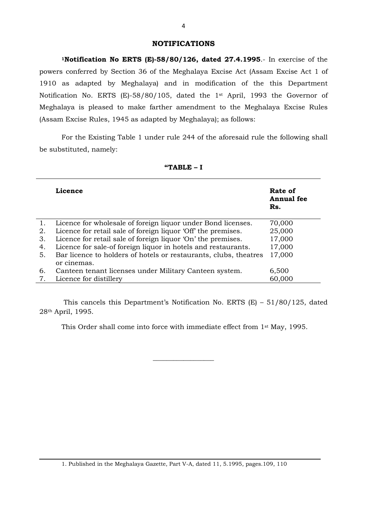# **NOTIFICATIONS**

**1Notification No ERTS (E)-58/80/126, dated 27.4.1995**.- In exercise of the powers conferred by Section 36 of the Meghalaya Excise Act (Assam Excise Act 1 of 1910 as adapted by Meghalaya) and in modification of the this Department Notification No. ERTS (E)-58/80/105, dated the 1st April, 1993 the Governor of Meghalaya is pleased to make farther amendment to the Meghalaya Excise Rules (Assam Excise Rules, 1945 as adapted by Meghalaya); as follows:

For the Existing Table 1 under rule 244 of the aforesaid rule the following shall be substituted, namely:

|    | Licence                                                                         | Rate of<br><b>Annual</b> fee<br>Rs. |
|----|---------------------------------------------------------------------------------|-------------------------------------|
| 1. | Licence for wholesale of foreign liquor under Bond licenses.                    | 70,000                              |
| 2. | Licence for retail sale of foreign liquor 'Off' the premises.                   | 25,000                              |
| 3. | Licence for retail sale of foreign liquor 'On' the premises.                    | 17,000                              |
| 4. | Licence for sale-of foreign liquor in hotels and restaurants.                   | 17,000                              |
| 5. | Bar licence to holders of hotels or restaurants, clubs, theatres<br>or cinemas. | 17,000                              |
| 6. | Canteen tenant licenses under Military Canteen system.                          | 6,500                               |
| 7. | Licence for distillery                                                          | 60,000                              |

#### **"TABLE – I**

This cancels this Department's Notification No. ERTS (E) – 51/80/125, dated 28th April, 1995.

This Order shall come into force with immediate effect from 1st May, 1995.

\_\_\_\_\_\_\_\_\_\_\_\_\_\_\_\_\_\_

1. Published in the Meghalaya Gazette, Part V-A, dated 11, 5.1995, pages.109, 110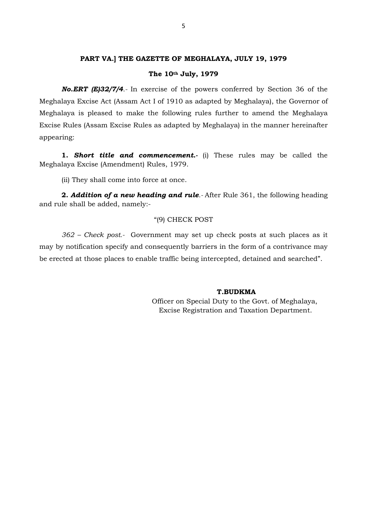#### **PART VA.] THE GAZETTE OF MEGHALAYA, JULY 19, 1979**

#### **The 10th July, 1979**

*No.ERT (E)32/7/4.-* In exercise of the powers conferred by Section 36 of the Meghalaya Excise Act (Assam Act I of 1910 as adapted by Meghalaya), the Governor of Meghalaya is pleased to make the following rules further to amend the Meghalaya Excise Rules (Assam Excise Rules as adapted by Meghalaya) in the manner hereinafter appearing:

**1.** *Short title and commencement.-* (i) These rules may be called the Meghalaya Excise (Amendment) Rules, 1979.

(ii) They shall come into force at once.

**2.** *Addition of a new heading and rule.-* After Rule 361, the following heading and rule shall be added, namely:-

#### "(9) CHECK POST

*362 – Check post.-* Government may set up check posts at such places as it may by notification specify and consequently barriers in the form of a contrivance may be erected at those places to enable traffic being intercepted, detained and searched".

### **T.BUDKMA**

 Officer on Special Duty to the Govt. of Meghalaya, Excise Registration and Taxation Department.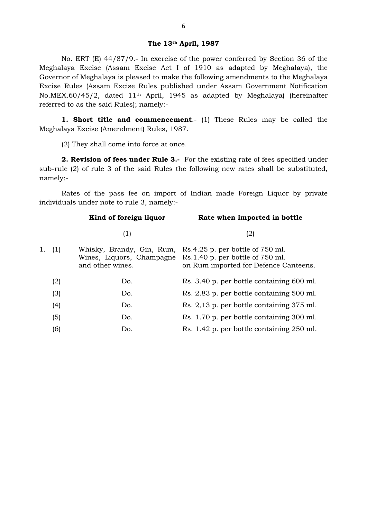# **The 13th April, 1987**

No. ERT (E) 44/87/9.- In exercise of the power conferred by Section 36 of the Meghalaya Excise (Assam Excise Act I of 1910 as adapted by Meghalaya), the Governor of Meghalaya is pleased to make the following amendments to the Meghalaya Excise Rules (Assam Excise Rules published under Assam Government Notification No.MEX.60/45/2, dated 11th April, 1945 as adapted by Meghalaya) (hereinafter referred to as the said Rules); namely:-

**1. Short title and commencement**.- (1) These Rules may be called the Meghalaya Excise (Amendment) Rules, 1987.

(2) They shall come into force at once.

**2. Revision of fees under Rule 3.-** For the existing rate of fees specified under sub-rule (2) of rule 3 of the said Rules the following new rates shall be substituted, namely:-

Rates of the pass fee on import of Indian made Foreign Liquor by private individuals under note to rule 3, namely:-

|        | Kind of foreign liquor                                                     | Rate when imported in bottle                                                                                        |
|--------|----------------------------------------------------------------------------|---------------------------------------------------------------------------------------------------------------------|
|        | (1)                                                                        | (2)                                                                                                                 |
| 1. (1) | Whisky, Brandy, Gin, Rum,<br>Wines, Liquors, Champagne<br>and other wines. | Rs.4.25 p. per bottle of 750 ml.<br>$Rs.1.40 p$ , per bottle of $750 ml$ .<br>on Rum imported for Defence Canteens. |
| (2)    | Do.                                                                        | Rs. 3.40 p. per bottle containing 600 ml.                                                                           |
| (3)    | Do.                                                                        | Rs. 2.83 p. per bottle containing 500 ml.                                                                           |
| (4)    | Do.                                                                        | Rs. 2,13 p. per bottle containing 375 ml.                                                                           |
| (5)    | Do.                                                                        | Rs. 1.70 p. per bottle containing 300 ml.                                                                           |
| (6)    | Do.                                                                        | Rs. 1.42 p. per bottle containing 250 ml.                                                                           |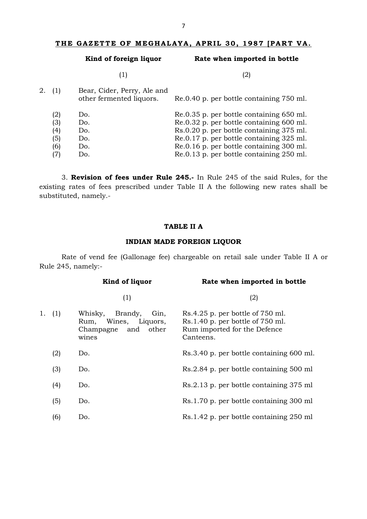# **THE GAZETTE OF MEGHALAYA, APRIL 30, 1987 [PART VA.**

|    |     | Kind of foreign liquor                                  | Rate when imported in bottle             |
|----|-----|---------------------------------------------------------|------------------------------------------|
|    |     | (1)                                                     | (2)                                      |
| 2. | (1) | Bear, Cider, Perry, Ale and<br>other fermented liquors. | Re.0.40 p. per bottle containing 750 ml. |
|    | (2) | Do.                                                     | Re.0.35 p. per bottle containing 650 ml. |
|    | (3) | Do.                                                     | Re.0.32 p. per bottle containing 600 ml. |
|    | (4) | Do.                                                     | Rs.0.20 p. per bottle containing 375 ml. |
|    | (5) | Do.                                                     | Re.0.17 p. per bottle containing 325 ml. |
|    | (6) | Do.                                                     | Re.0.16 p. per bottle containing 300 ml. |
|    | 7)  | Do.                                                     | Re.0.13 p. per bottle containing 250 ml. |

3. **Revision of fees under Rule 245.-** In Rule 245 of the said Rules, for the existing rates of fees prescribed under Table II A the following new rates shall be substituted, namely.-

# **TABLE II A**

# **INDIAN MADE FOREIGN LIQUOR**

Rate of vend fee (Gallonage fee) chargeable on retail sale under Table II A or Rule 245, namely:-

|           | Kind of liquor                                                                           | Rate when imported in bottle                                                                                              |
|-----------|------------------------------------------------------------------------------------------|---------------------------------------------------------------------------------------------------------------------------|
|           | (1)                                                                                      | (2)                                                                                                                       |
| 1.<br>(1) | Brandy,<br>Whisky,<br>Gin,<br>Wines, Liquors,<br>Rum,<br>other<br>Champagne and<br>wines | $Rs.4.25$ p. per bottle of $750$ ml.<br>$Rs.1.40 p.$ per bottle of $750 ml.$<br>Rum imported for the Defence<br>Canteens. |
| (2)       | Do.                                                                                      | Rs.3.40 p. per bottle containing 600 ml.                                                                                  |
| (3)       | Do.                                                                                      | Rs.2.84 p. per bottle containing 500 ml                                                                                   |
| (4)       | Do.                                                                                      | Rs.2.13 p. per bottle containing 375 ml                                                                                   |
| (5)       | Do.                                                                                      | Rs.1.70 p. per bottle containing 300 ml                                                                                   |
| (6)       | Do.                                                                                      | Rs.1.42 p. per bottle containing 250 ml                                                                                   |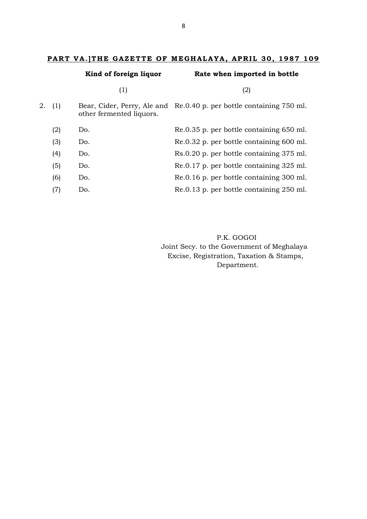# **PART VA.]THE GAZETTE OF MEGHALAYA, APRIL 30, 1987 109**

|        | Kind of foreign liquor   | Rate when imported in bottle                                         |
|--------|--------------------------|----------------------------------------------------------------------|
|        | (1)                      | (2)                                                                  |
| 2. (1) | other fermented liquors. | Bear, Cider, Perry, Ale and Re.0.40 p. per bottle containing 750 ml. |
| (2)    | Do.                      | Re.0.35 p. per bottle containing 650 ml.                             |
| (3)    | Do.                      | Re.0.32 p. per bottle containing 600 ml.                             |
| (4)    | Do.                      | Rs.0.20 p. per bottle containing 375 ml.                             |
| (5)    | Do.                      | Re.0.17 p. per bottle containing 325 ml.                             |
| (6)    | Do.                      | Re.0.16 p. per bottle containing 300 ml.                             |
| (7)    | Do.                      | Re.0.13 p. per bottle containing 250 ml.                             |
|        |                          |                                                                      |

P.K. GOGOI Joint Secy. to the Government of Meghalaya Excise, Registration, Taxation & Stamps, Department.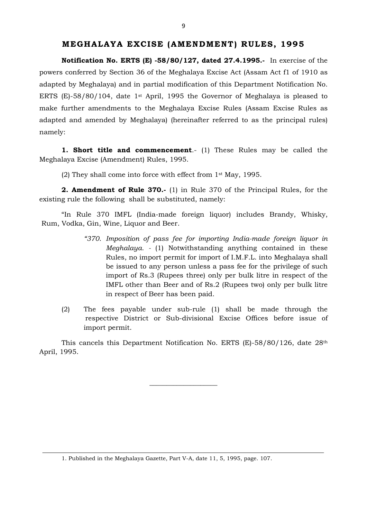**Notification No. ERTS (E) -58/80/127, dated 27.4.1995.-** In exercise of the powers conferred by Section 36 of the Meghalaya Excise Act (Assam Act f1 of 1910 as adapted by Meghalaya) and in partial modification of this Department Notification No. ERTS (E)-58/80/104, date 1st April, 1995 the Governor of Meghalaya is pleased to make further amendments to the Meghalaya Excise Rules (Assam Excise Rules as adapted and amended by Meghalaya) (hereinafter referred to as the principal rules) namely:

**1. Short title and commencement**.- (1) These Rules may be called the Meghalaya Excise (Amendment) Rules, 1995.

(2) They shall come into force with effect from 1st May, 1995.

**2. Amendment of Rule 370.-** (1) in Rule 370 of the Principal Rules, for the existing rule the following shall be substituted, namely:

"In Rule 370 IMFL (India-made foreign liquor) includes Brandy, Whisky, Rum, Vodka, Gin, Wine, Liquor and Beer.

- *"370*. *Imposition of pass fee for importing India-made foreign liquor in Meghalaya. -* (1) Notwithstanding anything contained in these Rules, no import permit for import of I.M.F.L. into Meghalaya shall be issued to any person unless a pass fee for the privilege of such import of Rs.3 (Rupees three) only per bulk litre in respect of the IMFL other than Beer and of Rs.2 (Rupees two) only per bulk litre in respect of Beer has been paid.
- (2) The fees payable under sub-rule (1) shall be made through the respective District or Sub-divisional Excise Offices before issue of import permit.

This cancels this Department Notification No. ERTS (E)-58/80/126, date 28th April, 1995.

\_\_\_\_\_\_\_\_\_\_\_\_\_\_\_\_\_\_\_\_

<sup>1.</sup> Published in the Meghalaya Gazette, Part V-A, date 11, 5, 1995, page. 107.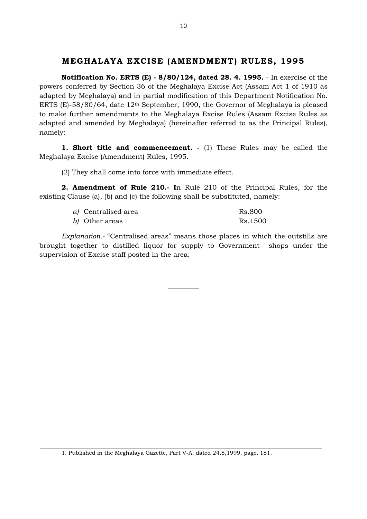**Notification No. ERTS (E) - 8/80/124, dated 28. 4. 1995.** - In exercise of the powers conferred by Section 36 of the Meghalaya Excise Act (Assam Act 1 of 1910 as adapted by Meghalaya) and in partial modification of this Department Notification No. ERTS (E)-58/80/64, date 12th September, 1990, the Governor of Meghalaya is pleased to make further amendments to the Meghalaya Excise Rules (Assam Excise Rules as adapted and amended by Meghalaya) (hereinafter referred to as the Principal Rules), namely:

**1. Short title and commencement. -** (1) These Rules may be called the Meghalaya Excise (Amendment) Rules, 1995.

(2) They shall come into force with immediate effect.

**2. Amendment of Rule 210.- I**n Rule 210 of the Principal Rules, for the existing Clause (a), (b) and (c) the following shall be substituted, namely:

| a) Centralised area | Rs.800  |
|---------------------|---------|
| b) Other areas      | Rs.1500 |

*Explanation.-* "Centralised areas" means those places in which the outstills are brought together to distilled liquor for supply to Government shops under the supervision of Excise staff posted in the area.

 $\overline{\phantom{a}}$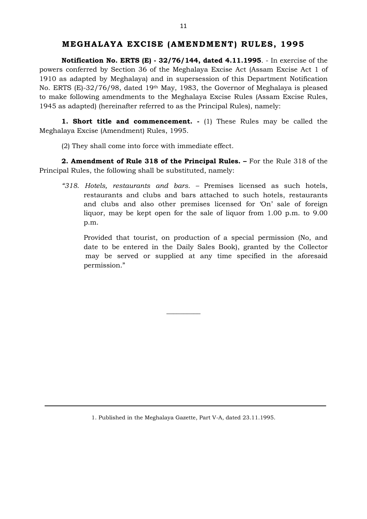**Notification No. ERTS (E) - 32/76/144, dated 4.11.1995**. - In exercise of the powers conferred by Section 36 of the Meghalaya Excise Act (Assam Excise Act 1 of 1910 as adapted by Meghalaya) and in supersession of this Department Notification No. ERTS (E)-32/76/98, dated 19th May, 1983, the Governor of Meghalaya is pleased to make following amendments to the Meghalaya Excise Rules (Assam Excise Rules, 1945 as adapted) (hereinafter referred to as the Principal Rules), namely:

**1. Short title and commencement. -** (1) These Rules may be called the Meghalaya Excise (Amendment) Rules, 1995.

(2) They shall come into force with immediate effect.

**2. Amendment of Rule 318 of the Principal Rules. –** For the Rule 318 of the Principal Rules, the following shall be substituted, namely:

*"318*. *Hotels, restaurants and bars. –* Premises licensed as such hotels, restaurants and clubs and bars attached to such hotels, restaurants and clubs and also other premises licensed for 'On' sale of foreign liquor, may be kept open for the sale of liquor from 1.00 p.m. to 9.00 p.m.

Provided that tourist, on production of a special permission (No, and date to be entered in the Daily Sales Book), granted by the Collector may be served or supplied at any time specified in the aforesaid permission."

 $\overline{\phantom{a}}$ 

<sup>1.</sup> Published in the Meghalaya Gazette, Part V-A, dated 23.11.1995.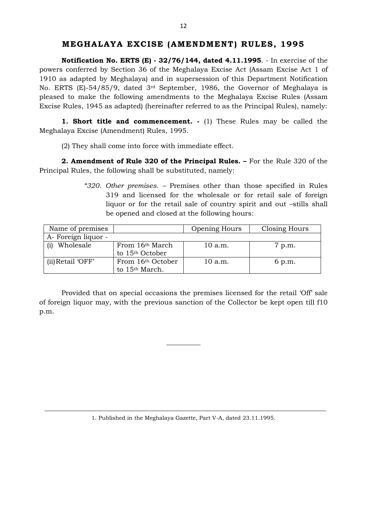**Notification No. ERTS (E) - 32/76/144, dated 4.11.1995**. - In exercise of the powers conferred by Section 36 of the Meghalaya Excise Act (Assam Excise Act 1 of 1910 as adapted by Meghalaya) and in supersession of this Department Notification No. ERTS (E)-54/85/9, dated 3rd September, 1986, the Governor of Meghalaya is pleased to make the following amendments to the Meghalaya Excise Rules (Assam Excise Rules, 1945 as adapted) (hereinafter referred to as the Principal Rules), namely:

**1. Short title and commencement. -** (1) These Rules may be called the Meghalaya Excise (Amendment) Rules, 1995.

(2) They shall come into force with immediate effect.

**2. Amendment of Rule 320 of the Principal Rules. –** For the Rule 320 of the Principal Rules, the following shall be substituted, namely:

> *"320*. *Other premises. –* Premises other than those specified in Rules 319 and licensed for the wholesale or for retail sale of foreign liquor or for the retail sale of country spirit and out –stills shall be opened and closed at the following hours:

| Name of premises    |                                                            | Opening Hours | Closing Hours |
|---------------------|------------------------------------------------------------|---------------|---------------|
| A- Foreign liquor - |                                                            |               |               |
| Wholesale           | From 16 <sup>th</sup> March<br>to 15 <sup>th</sup> October | 10 a.m.       | 7 p.m.        |
| (ii) Retail 'OFF'   | From 16th October<br>to 15 <sup>th</sup> March.            | 10 a.m.       | 6 p.m.        |

Provided that on special occasions the premises licensed for the retail 'Off' sale of foreign liquor may, with the previous sanction of the Collector be kept open till f10 p.m.

 $\overline{\phantom{a}}$  , where  $\overline{\phantom{a}}$ 

1. Published in the Meghalaya Gazette, Part V-A, dated 23.11.1995.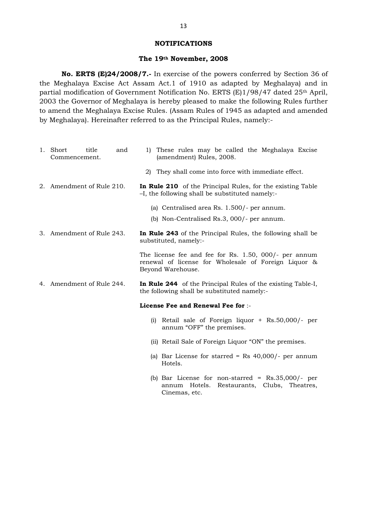#### **NOTIFICATIONS**

# **The 19th November, 2008**

**No. ERTS (E)24/2008/7.-** In exercise of the powers conferred by Section 36 of the Meghalaya Excise Act Assam Act.1 of 1910 as adapted by Meghalaya) and in partial modification of Government Notification No. ERTS (E)1/98/47 dated 25<sup>th</sup> April, 2003 the Governor of Meghalaya is hereby pleased to make the following Rules further to amend the Meghalaya Excise Rules. (Assam Rules of 1945 as adapted and amended by Meghalaya). Hereinafter referred to as the Principal Rules, namely:-

| 1. Short<br>title<br>and<br>Commencement. | 1) These rules may be called the Meghalaya Excise<br>(amendment) Rules, 2008.                                                      |
|-------------------------------------------|------------------------------------------------------------------------------------------------------------------------------------|
|                                           | They shall come into force with immediate effect.<br>2)                                                                            |
| 2. Amendment of Rule 210.                 | In Rule 210 of the Principal Rules, for the existing Table<br>-I, the following shall be substituted namely:-                      |
|                                           | (a) Centralised area Rs. 1.500/- per annum.                                                                                        |
|                                           | (b) Non-Centralised Rs.3, 000/- per annum.                                                                                         |
| 3. Amendment of Rule 243.                 | In Rule 243 of the Principal Rules, the following shall be<br>substituted, namely:-                                                |
|                                           | The license fee and fee for Rs. 1.50, 000/- per annum<br>renewal of license for Wholesale of Foreign Liquor &<br>Beyond Warehouse. |
| 4. Amendment of Rule 244.                 | <b>In Rule 244</b> of the Principal Rules of the existing Table-I,<br>the following shall be substituted namely:-                  |
|                                           | License Fee and Renewal Fee for :-                                                                                                 |
|                                           | (i) Retail sale of Foreign liquor $+$ Rs.50,000/- per<br>annum "OFF" the premises.                                                 |
|                                           | (ii) Retail Sale of Foreign Liquor "ON" the premises.                                                                              |
|                                           | (a) Bar License for starred = Rs $40,000/$ - per annum<br>Hotels.                                                                  |
|                                           | (b) Bar License for non-starred = $Rs.35,000/-$ per<br>annum Hotels. Restaurants, Clubs, Theatres,                                 |

Cinemas, etc.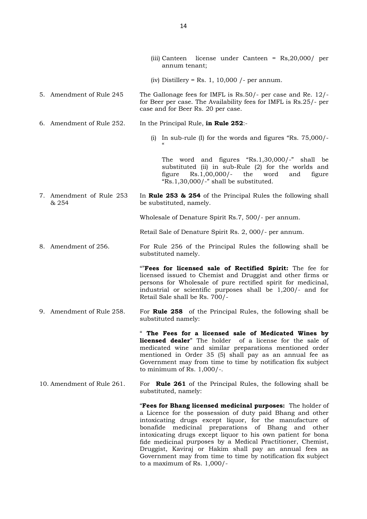|                                   | (iii) Canteen license under Canteen = Rs, 20,000/ per<br>annum tenant;                                                                                                                                                                                                                                                                                                      |
|-----------------------------------|-----------------------------------------------------------------------------------------------------------------------------------------------------------------------------------------------------------------------------------------------------------------------------------------------------------------------------------------------------------------------------|
|                                   | (iv) Distillery = Rs. 1, 10,000 $/$ - per annum.                                                                                                                                                                                                                                                                                                                            |
| 5. Amendment of Rule 245          | The Gallonage fees for IMFL is $Rs.50/-$ per case and Re. 12/-<br>for Beer per case. The Availability fees for IMFL is Rs.25/- per<br>case and for Beer Rs. 20 per case.                                                                                                                                                                                                    |
| 6. Amendment of Rule 252.         | In the Principal Rule, in Rule 252:-                                                                                                                                                                                                                                                                                                                                        |
|                                   | In sub-rule (I) for the words and figures "Rs. 75,000/-<br>(i)                                                                                                                                                                                                                                                                                                              |
|                                   | The word and figures $Rs.1,30,000/-$ " shall be<br>substituted (ii) in sub-Rule (2) for the worlds and<br>$Rs.1,00,000/-$<br>the<br>word<br>figure<br>figure<br>and<br>" $Rs.1,30,000/$ -" shall be substituted.                                                                                                                                                            |
| 7. Amendment of Rule 253<br>& 254 | In Rule 253 & 254 of the Principal Rules the following shall<br>be substituted, namely.                                                                                                                                                                                                                                                                                     |
|                                   | Wholesale of Denature Spirit Rs.7, 500/- per annum.                                                                                                                                                                                                                                                                                                                         |
|                                   | Retail Sale of Denature Spirit Rs. 2, 000/- per annum.                                                                                                                                                                                                                                                                                                                      |
| 8. Amendment of 256.              | For Rule 256 of the Principal Rules the following shall be<br>substituted namely.                                                                                                                                                                                                                                                                                           |
|                                   | "Fees for licensed sale of Rectified Spirit: The fee for<br>licensed issued to Chemist and Druggist and other firms or<br>persons for Wholesale of pure rectified spirit for medicinal,<br>industrial or scientific purposes shall be 1,200/- and for<br>Retail Sale shall be Rs. 700/-                                                                                     |
| 9. Amendment of Rule 258.         | For <b>Rule 258</b> of the Principal Rules, the following shall be<br>substituted namely:                                                                                                                                                                                                                                                                                   |
|                                   | The Fees for a licensed sale of Medicated Wines by<br><b>licensed dealer</b> " The holder of a license for the sale of<br>medicated wine and similar preparations mentioned order<br>mentioned in Order 35 (5) shall pay as an annual fee as<br>Government may from time to time by notification fix subject<br>to minimum of Rs. $1,000$ /-.                               |
| 10. Amendment of Rule 261.        | For <b>Rule 261</b> of the Principal Rules, the following shall be<br>substituted, namely:                                                                                                                                                                                                                                                                                  |
|                                   | "Fees for Bhang licensed medicinal purposes: The holder of<br>a Licence for the possession of duty paid Bhang and other<br>intoxicating drugs except liquor, for the manufacture of<br>medicinal preparations of Bhang and other<br>bonafide<br>intoxicating drugs except liquor to his own patient for bona<br>fide medicinal purposes by a Medical Practitioner, Chemist, |

to a maximum of Rs. 1,000/-

Druggist, Kaviraj or Hakim shall pay an annual fees as Government may from time to time by notification fix subject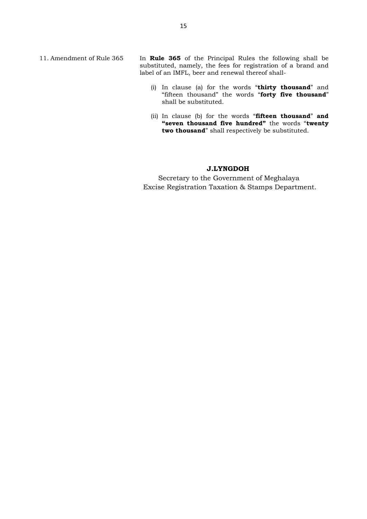11. Amendment of Rule 365 In **Rule 365** of the Principal Rules the following shall be substituted, namely, the fees for registration of a brand and label of an IMFL, beer and renewal thereof shall-

- (i) In clause (a) for the words "**thirty thousand**" and "fifteen thousand" the words "**forty five thousand**" shall be substituted.
- (ii) In clause (b) for the words "**fifteen thousand**" **and "seven thousand five hundred"** the words "**twenty two thousand**" shall respectively be substituted.

# **J.LYNGDOH**

 Secretary to the Government of Meghalaya Excise Registration Taxation & Stamps Department.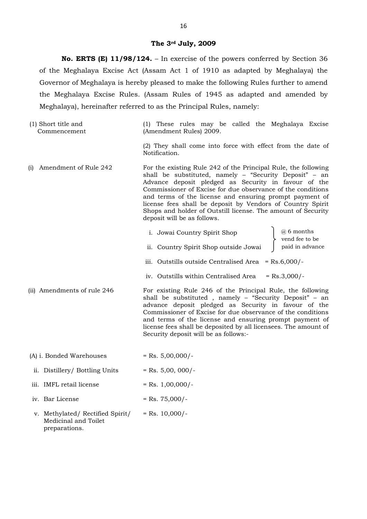#### **The 3rd July, 2009**

**No. ERTS (E) 11/98/124.** – In exercise of the powers conferred by Section 36 of the Meghalaya Excise Act (Assam Act 1 of 1910 as adapted by Meghalaya) the Governor of Meghalaya is hereby pleased to make the following Rules further to amend the Meghalaya Excise Rules. (Assam Rules of 1945 as adapted and amended by Meghalaya), hereinafter referred to as the Principal Rules, namely:

(1) Short title and Commencement (1) These rules may be called the Meghalaya Excise (Amendment Rules) 2009.

> (2) They shall come into force with effect from the date of Notification.

(i) Amendment of Rule 242 For the existing Rule 242 of the Principal Rule, the following shall be substituted, namely – "Security Deposit" – an Advance deposit pledged as Security in favour of the Commissioner of Excise for due observance of the conditions and terms of the license and ensuring prompt payment of license fees shall be deposit by Vendors of Country Spirit Shops and holder of Outstill license. The amount of Security deposit will be as follows.

| i. Jowai Country Spirit Shop          | $\begin{array}{c} \boxed{a} \text{ 6 months} \\ \text{vend fee to be} \end{array}$ |
|---------------------------------------|------------------------------------------------------------------------------------|
| ii. Country Spirit Shop outside Jowai | paid in advance                                                                    |

- iii. Outstills outside Centralised Area = Rs.6,000/-
- iv. Outstills within Centralised Area =  $Rs.3,000/-$
- (ii) Amendments of rule 246 For existing Rule 246 of the Principal Rule, the following shall be substituted , namely – "Security Deposit" – an advance deposit pledged as Security in favour of the Commissioner of Excise for due observance of the conditions and terms of the license and ensuring prompt payment of license fees shall be deposited by all licensees. The amount of Security deposit will be as follows:-
- (A) i. Bonded Warehouses  $=$  Rs.  $5,00,000/$ -
- ii. Distillery/ Bottling Units  $=$  Rs. 5,00, 000/-
- iii. IMFL retail license  $=$  Rs.  $1,00,000/$ -
- iv. Bar License  $=$  Rs.  $75,000/-$
- v. Methylated/ Rectified Spirit/ Medicinal and Toilet preparations.  $=$  Rs. 10,000/-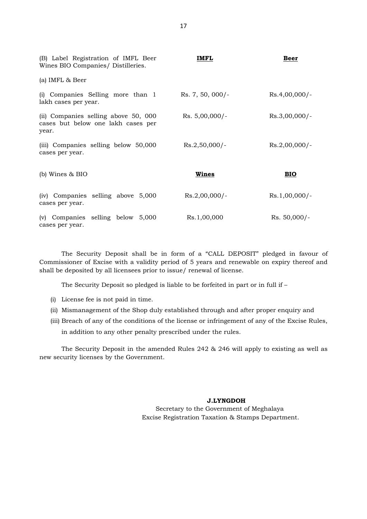| (B) Label Registration of IMFL Beer<br>Wines BIO Companies/ Distilleries.           | IMFL             | <b>Beer</b>     |
|-------------------------------------------------------------------------------------|------------------|-----------------|
| (a) IMFL & Beer                                                                     |                  |                 |
| (i) Companies Selling more than 1<br>lakh cases per year.                           | Rs. 7, 50, 000/- | $Rs.4,00,000/-$ |
| (ii) Companies selling above 50, 000<br>cases but below one lakh cases per<br>year. | $Rs. 5,00,000/-$ | $Rs.3,00,000/-$ |
| (iii) Companies selling below 50,000<br>cases per year.                             | $Rs.2,50,000/-$  | $Rs.2,00,000/-$ |
| (b) Wines $& BIO$                                                                   | Wines            | <b>BIO</b>      |
| (iv) Companies selling above 5,000<br>cases per year.                               | $Rs.2,00,000/-$  | $Rs.1,00,000/-$ |
| $(v)$ Companies selling below 5,000<br>cases per year.                              | Rs.1,00,000      | $Rs. 50,000/-$  |

The Security Deposit shall be in form of a "CALL DEPOSIT" pledged in favour of Commissioner of Excise with a validity period of 5 years and renewable on expiry thereof and shall be deposited by all licensees prior to issue/ renewal of license.

The Security Deposit so pledged is liable to be forfeited in part or in full if –

- (i) License fee is not paid in time.
- (ii) Mismanagement of the Shop duly established through and after proper enquiry and

(iii) Breach of any of the conditions of the license or infringement of any of the Excise Rules,

in addition to any other penalty prescribed under the rules.

The Security Deposit in the amended Rules 242 & 246 will apply to existing as well as new security licenses by the Government.

### **J.LYNGDOH**

 Secretary to the Government of Meghalaya Excise Registration Taxation & Stamps Department.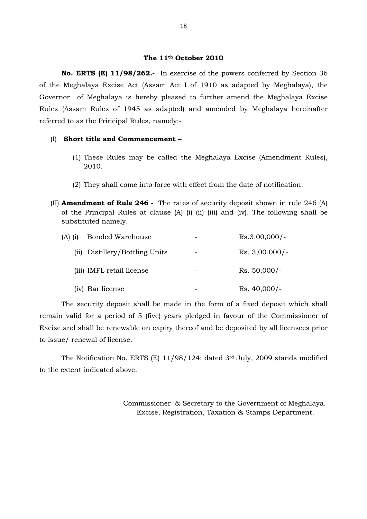# **The 11th October 2010**

**No. ERTS (E) 11/98/262.-** In exercise of the powers conferred by Section 36 of the Meghalaya Excise Act (Assam Act I of 1910 as adapted by Meghalaya), the Governor of Meghalaya is hereby pleased to further amend the Meghalaya Excise Rules (Assam Rules of 1945 as adapted) and amended by Meghalaya hereinafter referred to as the Principal Rules, namely:-

#### (I) **Short title and Commencement –**

- (1) These Rules may be called the Meghalaya Excise (Amendment Rules), 2010.
- (2) They shall come into force with effect from the date of notification.
- (II) **Amendment of Rule 246 -** The rates of security deposit shown in rule 246 (A) of the Principal Rules at clause (A) (i) (ii) (iii) and (iv). The following shall be substituted namely.

| $(A)$ (i) | <b>Bonded Warehouse</b>        |   | $Rs.3,00,000/-$  |
|-----------|--------------------------------|---|------------------|
|           | (ii) Distillery/Bottling Units |   | $Rs. 3,00,000/-$ |
|           | (iii) IMFL retail license      | - | $Rs. 50,000/-$   |
|           | (iv) Bar license               |   | $Rs. 40,000/-$   |

The security deposit shall be made in the form of a fixed deposit which shall remain valid for a period of 5 (five) years pledged in favour of the Commissioner of Excise and shall be renewable on expiry thereof and be deposited by all licensees prior to issue/ renewal of license.

The Notification No. ERTS (E) 11/98/124: dated 3rd July, 2009 stands modified to the extent indicated above.

> Commissioner & Secretary to the Government of Meghalaya. Excise, Registration, Taxation & Stamps Department.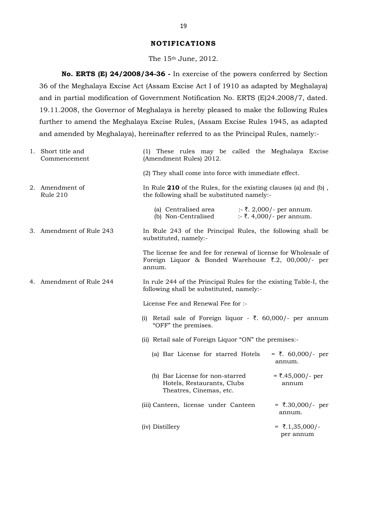#### **NOTIFICATIONS**

The 15th June, 2012.

**No. ERTS (E) 24/2008/34-36 -** In exercise of the powers conferred by Section 36 of the Meghalaya Excise Act (Assam Excise Act I of 1910 as adapted by Meghalaya) and in partial modification of Government Notification No. ERTS (E)24.2008/7, dated. 19.11.2008, the Governor of Meghalaya is hereby pleased to make the following Rules further to amend the Meghalaya Excise Rules, (Assam Excise Rules 1945, as adapted and amended by Meghalaya), hereinafter referred to as the Principal Rules, namely:-

|  | 1. Short title and<br>Commencement | (1) These rules may be called the Meghalaya Excise<br>(Amendment Rules) 2012.                                                    |                                                      |
|--|------------------------------------|----------------------------------------------------------------------------------------------------------------------------------|------------------------------------------------------|
|  |                                    | (2) They shall come into force with immediate effect.                                                                            |                                                      |
|  | 2. Amendment of<br>Rule 210        | In Rule 210 of the Rules, for the existing clauses (a) and (b),<br>the following shall be substituted namely:-                   |                                                      |
|  |                                    | (a) Centralised area<br>(b) Non-Centralised                                                                                      | :- ₹. 2,000/- per annum.<br>:- ₹. 4,000/- per annum. |
|  | 3. Amendment of Rule 243           | In Rule 243 of the Principal Rules, the following shall be<br>substituted, namely:-                                              |                                                      |
|  |                                    | The license fee and fee for renewal of license for Wholesale of<br>Foreign Liquor & Bonded Warehouse ₹.2, 00,000/- per<br>annum. |                                                      |
|  | 4. Amendment of Rule 244           | In rule 244 of the Principal Rules for the existing Table-I, the<br>following shall be substituted, namely:-                     |                                                      |
|  |                                    | License Fee and Renewal Fee for :-                                                                                               |                                                      |
|  |                                    | (i) Retail sale of Foreign liquor - ₹. $60,000/$ - per annum<br>"OFF" the premises.                                              |                                                      |
|  |                                    | (ii) Retail sale of Foreign Liquor "ON" the premises:-                                                                           |                                                      |
|  |                                    | (a) Bar License for starred Hotels                                                                                               | = ₹. $60,000$ /- per<br>annum.                       |
|  |                                    | (b) Bar License for non-starred<br>Hotels, Restaurants, Clubs<br>Theatres, Cinemas, etc.                                         | $= ₹.45,000/$ - per<br>annum                         |
|  |                                    | (iii) Canteen, license under Canteen                                                                                             | $=$ ₹.30,000/- per<br>annum.                         |
|  |                                    | (iv) Distillery                                                                                                                  | = ₹.1,35,000/-<br>per annum                          |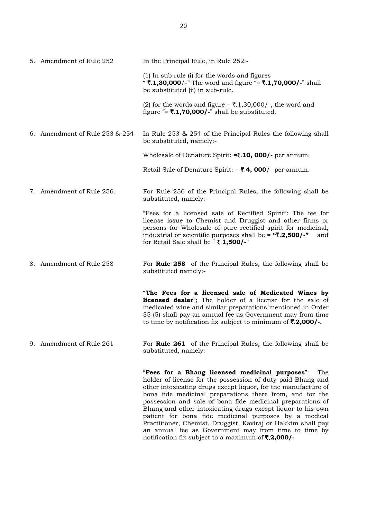| 5. Amendment of Rule 252       | In the Principal Rule, in Rule 252:-                                                                                                                                                                                                                                                                                               |
|--------------------------------|------------------------------------------------------------------------------------------------------------------------------------------------------------------------------------------------------------------------------------------------------------------------------------------------------------------------------------|
|                                | (1) In sub rule (i) for the words and figures<br>" ₹.1,30,000/-" The word and figure "= ₹.1,70,000/-" shall<br>be substituted (ii) in sub-rule.                                                                                                                                                                                    |
|                                | (2) for the words and figure = $\overline{\xi}$ .1,30,000/-, the word and<br>figure "= $\overline{\mathbf{z}}$ .1,70,000/-" shall be substituted.                                                                                                                                                                                  |
| 6. Amendment of Rule 253 & 254 | In Rule 253 & 254 of the Principal Rules the following shall<br>be substituted, namely:-                                                                                                                                                                                                                                           |
|                                | Wholesale of Denature Spirit: $=\overline{\mathbf{z}}.10,000$ - per annum.                                                                                                                                                                                                                                                         |
|                                | Retail Sale of Denature Spirit: $= ₹.4,000/$ - per annum.                                                                                                                                                                                                                                                                          |
| 7. Amendment of Rule 256.      | For Rule 256 of the Principal Rules, the following shall be<br>substituted, namely:-                                                                                                                                                                                                                                               |
|                                | "Fees for a licensed sale of Rectified Spirit": The fee for<br>license issue to Chemist and Druggist and other firms or<br>persons for Wholesale of pure rectified spirit for medicinal,<br>industrial or scientific purposes shall be = " $\overline{\mathbf{3}}$ .2,500/-"<br>and<br>for Retail Sale shall be "₹.1,500/-"        |
| 8. Amendment of Rule 258       | For Rule 258 of the Principal Rules, the following shall be<br>substituted namely:-                                                                                                                                                                                                                                                |
|                                | "The Fees for a licensed sale of Medicated Wines by<br>licensed dealer"; The holder of a license for the sale of<br>medicated wine and similar preparations mentioned in Order<br>35 (5) shall pay an annual fee as Government may from time<br>to time by notification fix subject to minimum of $\overline{\mathbf{3}}$ .2,000/. |
| 9. Amendment of Rule 261       | For <b>Rule 261</b> of the Principal Rules, the following shall be<br>substituted, namely:-                                                                                                                                                                                                                                        |
|                                | "Fees for a Bhang licensed medicinal purposes":<br>The<br>holder of license for the possession of duty paid Bhang and<br>other intoxicating drugs except liquor, for the manufacture of<br>bona fide medicinal preparations there from, and for the<br>possession and sale of bona fide medicinal preparations of                  |

Bhang and other intoxicating drugs except liquor to his own patient for bona fide medicinal purposes by a medical Practitioner, Chemist, Druggist, Kaviraj or Hakkim shall pay an annual fee as Government may from time to time by

notification fix subject to a maximum of ₹.2,000/-